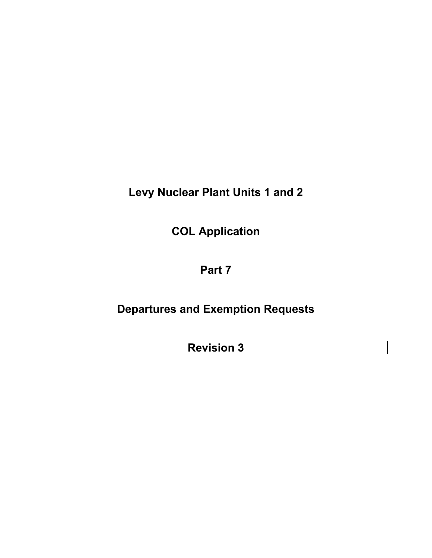**Levy Nuclear Plant Units 1 and 2** 

**COL Application** 

# **Part 7**

# **Departures and Exemption Requests**

**Revision 3**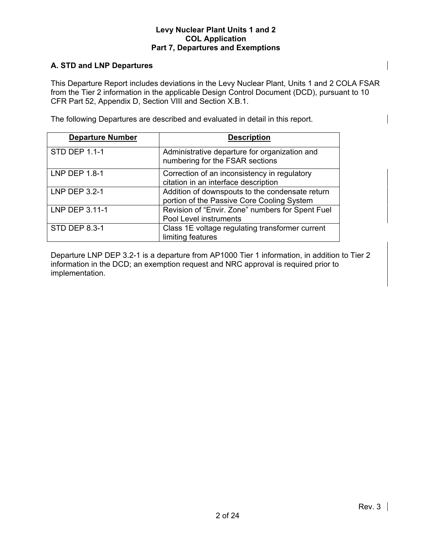# **A. STD and LNP Departures**

This Departure Report includes deviations in the Levy Nuclear Plant, Units 1 and 2 COLA FSAR from the Tier 2 information in the applicable Design Control Document (DCD), pursuant to 10 CFR Part 52, Appendix D, Section VIII and Section X.B.1.

The following Departures are described and evaluated in detail in this report.

| <b>Departure Number</b> | <b>Description</b>                                                                            |
|-------------------------|-----------------------------------------------------------------------------------------------|
| <b>STD DEP 1.1-1</b>    | Administrative departure for organization and<br>numbering for the FSAR sections              |
| <b>LNP DEP 1.8-1</b>    | Correction of an inconsistency in regulatory<br>citation in an interface description          |
| LNP DEP 3.2-1           | Addition of downspouts to the condensate return<br>portion of the Passive Core Cooling System |
| LNP DEP 3.11-1          | Revision of "Envir. Zone" numbers for Spent Fuel<br>Pool Level instruments                    |
| <b>STD DEP 8.3-1</b>    | Class 1E voltage regulating transformer current<br>limiting features                          |

Departure LNP DEP 3.2-1 is a departure from AP1000 Tier 1 information, in addition to Tier 2 information in the DCD; an exemption request and NRC approval is required prior to implementation.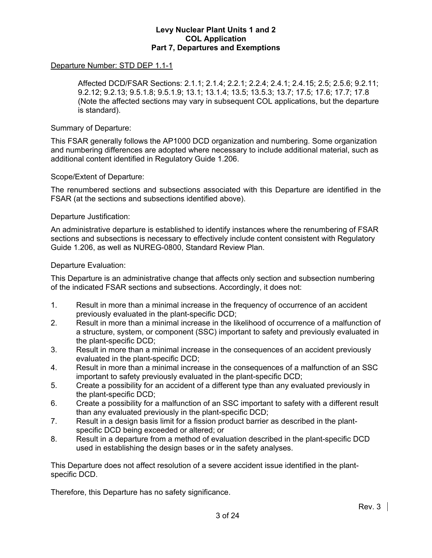#### Departure Number: STD DEP 1.1-1

 Affected DCD/FSAR Sections: 2.1.1; 2.1.4; 2.2.1; 2.2.4; 2.4.1; 2.4.15; 2.5; 2.5.6; 9.2.11; 9.2.12; 9.2.13; 9.5.1.8; 9.5.1.9; 13.1; 13.1.4; 13.5; 13.5.3; 13.7; 17.5; 17.6; 17.7; 17.8 (Note the affected sections may vary in subsequent COL applications, but the departure is standard).

#### Summary of Departure:

This FSAR generally follows the AP1000 DCD organization and numbering. Some organization and numbering differences are adopted where necessary to include additional material, such as additional content identified in Regulatory Guide 1.206.

#### Scope/Extent of Departure:

The renumbered sections and subsections associated with this Departure are identified in the FSAR (at the sections and subsections identified above).

#### Departure Justification:

An administrative departure is established to identify instances where the renumbering of FSAR sections and subsections is necessary to effectively include content consistent with Regulatory Guide 1.206, as well as NUREG-0800, Standard Review Plan.

#### Departure Evaluation:

This Departure is an administrative change that affects only section and subsection numbering of the indicated FSAR sections and subsections. Accordingly, it does not:

- 1. Result in more than a minimal increase in the frequency of occurrence of an accident previously evaluated in the plant-specific DCD;
- 2. Result in more than a minimal increase in the likelihood of occurrence of a malfunction of a structure, system, or component (SSC) important to safety and previously evaluated in the plant-specific DCD;
- 3. Result in more than a minimal increase in the consequences of an accident previously evaluated in the plant-specific DCD;
- 4. Result in more than a minimal increase in the consequences of a malfunction of an SSC important to safety previously evaluated in the plant-specific DCD;
- 5. Create a possibility for an accident of a different type than any evaluated previously in the plant-specific DCD;
- 6. Create a possibility for a malfunction of an SSC important to safety with a different result than any evaluated previously in the plant-specific DCD;
- 7. Result in a design basis limit for a fission product barrier as described in the plantspecific DCD being exceeded or altered; or
- 8. Result in a departure from a method of evaluation described in the plant-specific DCD used in establishing the design bases or in the safety analyses.

This Departure does not affect resolution of a severe accident issue identified in the plantspecific DCD.

Therefore, this Departure has no safety significance.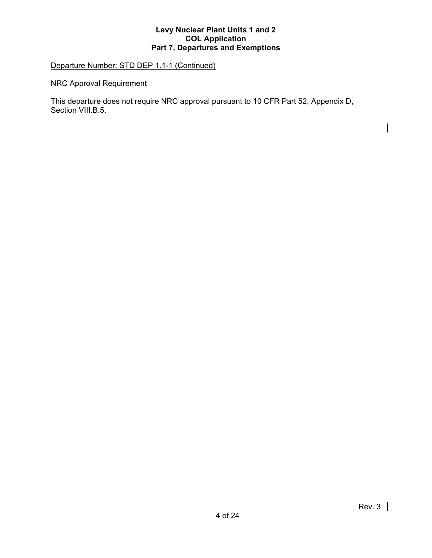# Departure Number: STD DEP 1.1-1 (Continued)

NRC Approval Requirement

This departure does not require NRC approval pursuant to 10 CFR Part 52, Appendix D, Section VIII.B.5.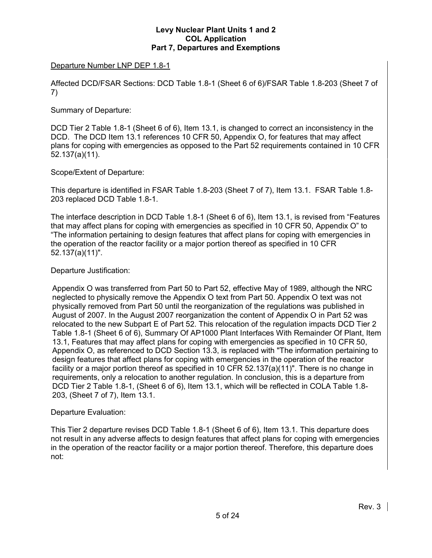### Departure Number LNP DEP 1.8-1

Affected DCD/FSAR Sections: DCD Table 1.8-1 (Sheet 6 of 6)/FSAR Table 1.8-203 (Sheet 7 of 7)

#### Summary of Departure:

DCD Tier 2 Table 1.8-1 (Sheet 6 of 6), Item 13.1, is changed to correct an inconsistency in the DCD. The DCD Item 13.1 references 10 CFR 50, Appendix O, for features that may affect plans for coping with emergencies as opposed to the Part 52 requirements contained in 10 CFR 52.137(a)(11).

# Scope/Extent of Departure:

This departure is identified in FSAR Table 1.8-203 (Sheet 7 of 7), Item 13.1. FSAR Table 1.8- 203 replaced DCD Table 1.8-1.

The interface description in DCD Table 1.8-1 (Sheet 6 of 6), Item 13.1, is revised from "Features that may affect plans for coping with emergencies as specified in 10 CFR 50, Appendix O" to "The information pertaining to design features that affect plans for coping with emergencies in the operation of the reactor facility or a major portion thereof as specified in 10 CFR 52.137(a)(11)".

#### Departure Justification:

Appendix O was transferred from Part 50 to Part 52, effective May of 1989, although the NRC neglected to physically remove the Appendix O text from Part 50. Appendix O text was not physically removed from Part 50 until the reorganization of the regulations was published in August of 2007. In the August 2007 reorganization the content of Appendix O in Part 52 was relocated to the new Subpart E of Part 52. This relocation of the regulation impacts DCD Tier 2 Table 1.8-1 (Sheet 6 of 6), Summary Of AP1000 Plant Interfaces With Remainder Of Plant, Item 13.1, Features that may affect plans for coping with emergencies as specified in 10 CFR 50, Appendix O, as referenced to DCD Section 13.3, is replaced with "The information pertaining to design features that affect plans for coping with emergencies in the operation of the reactor facility or a major portion thereof as specified in 10 CFR 52.137(a)(11)". There is no change in requirements, only a relocation to another regulation. In conclusion, this is a departure from DCD Tier 2 Table 1.8-1, (Sheet 6 of 6), Item 13.1, which will be reflected in COLA Table 1.8- 203, (Sheet 7 of 7), Item 13.1.

#### Departure Evaluation:

This Tier 2 departure revises DCD Table 1.8-1 (Sheet 6 of 6), Item 13.1. This departure does not result in any adverse affects to design features that affect plans for coping with emergencies in the operation of the reactor facility or a major portion thereof. Therefore, this departure does not: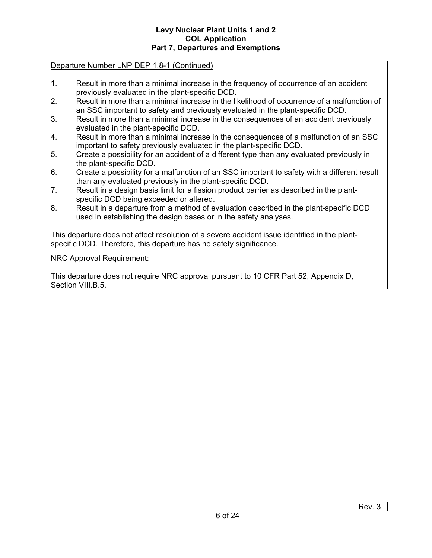#### Departure Number LNP DEP 1.8-1 (Continued)

- 1. Result in more than a minimal increase in the frequency of occurrence of an accident previously evaluated in the plant-specific DCD.
- 2. Result in more than a minimal increase in the likelihood of occurrence of a malfunction of an SSC important to safety and previously evaluated in the plant-specific DCD.
- 3. Result in more than a minimal increase in the consequences of an accident previously evaluated in the plant-specific DCD.
- 4. Result in more than a minimal increase in the consequences of a malfunction of an SSC important to safety previously evaluated in the plant-specific DCD.
- 5. Create a possibility for an accident of a different type than any evaluated previously in the plant-specific DCD.
- 6. Create a possibility for a malfunction of an SSC important to safety with a different result than any evaluated previously in the plant-specific DCD.
- 7. Result in a design basis limit for a fission product barrier as described in the plantspecific DCD being exceeded or altered.
- 8. Result in a departure from a method of evaluation described in the plant-specific DCD used in establishing the design bases or in the safety analyses.

This departure does not affect resolution of a severe accident issue identified in the plantspecific DCD. Therefore, this departure has no safety significance.

NRC Approval Requirement:

This departure does not require NRC approval pursuant to 10 CFR Part 52, Appendix D, Section VIII.B.5.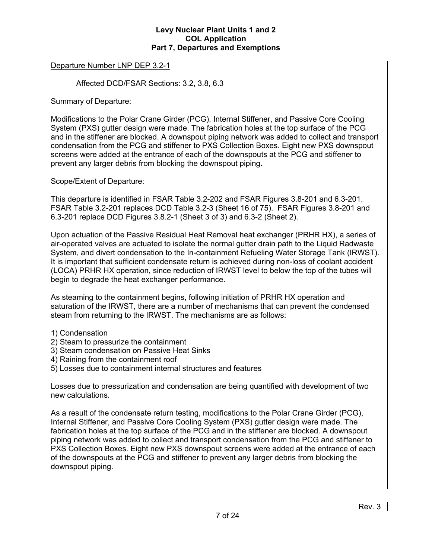#### Departure Number LNP DEP 3.2-1

Affected DCD/FSAR Sections: 3.2, 3.8, 6.3

Summary of Departure:

Modifications to the Polar Crane Girder (PCG), Internal Stiffener, and Passive Core Cooling System (PXS) gutter design were made. The fabrication holes at the top surface of the PCG and in the stiffener are blocked. A downspout piping network was added to collect and transport condensation from the PCG and stiffener to PXS Collection Boxes. Eight new PXS downspout screens were added at the entrance of each of the downspouts at the PCG and stiffener to prevent any larger debris from blocking the downspout piping.

Scope/Extent of Departure:

This departure is identified in FSAR Table 3.2-202 and FSAR Figures 3.8-201 and 6.3-201. FSAR Table 3.2-201 replaces DCD Table 3.2-3 (Sheet 16 of 75). FSAR Figures 3.8-201 and 6.3-201 replace DCD Figures 3.8.2-1 (Sheet 3 of 3) and 6.3-2 (Sheet 2).

Upon actuation of the Passive Residual Heat Removal heat exchanger (PRHR HX), a series of air-operated valves are actuated to isolate the normal gutter drain path to the Liquid Radwaste System, and divert condensation to the In-containment Refueling Water Storage Tank (IRWST). It is important that sufficient condensate return is achieved during non-loss of coolant accident (LOCA) PRHR HX operation, since reduction of IRWST level to below the top of the tubes will begin to degrade the heat exchanger performance.

As steaming to the containment begins, following initiation of PRHR HX operation and saturation of the IRWST, there are a number of mechanisms that can prevent the condensed steam from returning to the IRWST. The mechanisms are as follows:

1) Condensation

- 2) Steam to pressurize the containment
- 3) Steam condensation on Passive Heat Sinks
- 4) Raining from the containment roof
- 5) Losses due to containment internal structures and features

Losses due to pressurization and condensation are being quantified with development of two new calculations.

As a result of the condensate return testing, modifications to the Polar Crane Girder (PCG), Internal Stiffener, and Passive Core Cooling System (PXS) gutter design were made. The fabrication holes at the top surface of the PCG and in the stiffener are blocked. A downspout piping network was added to collect and transport condensation from the PCG and stiffener to PXS Collection Boxes. Eight new PXS downspout screens were added at the entrance of each of the downspouts at the PCG and stiffener to prevent any larger debris from blocking the downspout piping.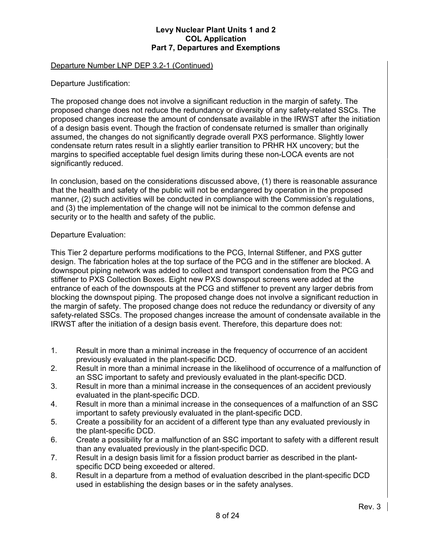#### Departure Number LNP DEP 3.2-1 (Continued)

Departure Justification:

The proposed change does not involve a significant reduction in the margin of safety. The proposed change does not reduce the redundancy or diversity of any safety-related SSCs. The proposed changes increase the amount of condensate available in the IRWST after the initiation of a design basis event. Though the fraction of condensate returned is smaller than originally assumed, the changes do not significantly degrade overall PXS performance. Slightly lower condensate return rates result in a slightly earlier transition to PRHR HX uncovery; but the margins to specified acceptable fuel design limits during these non-LOCA events are not significantly reduced.

In conclusion, based on the considerations discussed above, (1) there is reasonable assurance that the health and safety of the public will not be endangered by operation in the proposed manner, (2) such activities will be conducted in compliance with the Commission's regulations, and (3) the implementation of the change will not be inimical to the common defense and security or to the health and safety of the public.

#### Departure Evaluation:

This Tier 2 departure performs modifications to the PCG, Internal Stiffener, and PXS gutter design. The fabrication holes at the top surface of the PCG and in the stiffener are blocked. A downspout piping network was added to collect and transport condensation from the PCG and stiffener to PXS Collection Boxes. Eight new PXS downspout screens were added at the entrance of each of the downspouts at the PCG and stiffener to prevent any larger debris from blocking the downspout piping. The proposed change does not involve a significant reduction in the margin of safety. The proposed change does not reduce the redundancy or diversity of any safety-related SSCs. The proposed changes increase the amount of condensate available in the IRWST after the initiation of a design basis event. Therefore, this departure does not:

- 1. Result in more than a minimal increase in the frequency of occurrence of an accident previously evaluated in the plant-specific DCD.
- 2. Result in more than a minimal increase in the likelihood of occurrence of a malfunction of an SSC important to safety and previously evaluated in the plant-specific DCD.
- 3. Result in more than a minimal increase in the consequences of an accident previously evaluated in the plant-specific DCD.
- 4. Result in more than a minimal increase in the consequences of a malfunction of an SSC important to safety previously evaluated in the plant-specific DCD.
- 5. Create a possibility for an accident of a different type than any evaluated previously in the plant-specific DCD.
- 6. Create a possibility for a malfunction of an SSC important to safety with a different result than any evaluated previously in the plant-specific DCD.
- 7. Result in a design basis limit for a fission product barrier as described in the plantspecific DCD being exceeded or altered.
- 8. Result in a departure from a method of evaluation described in the plant-specific DCD used in establishing the design bases or in the safety analyses.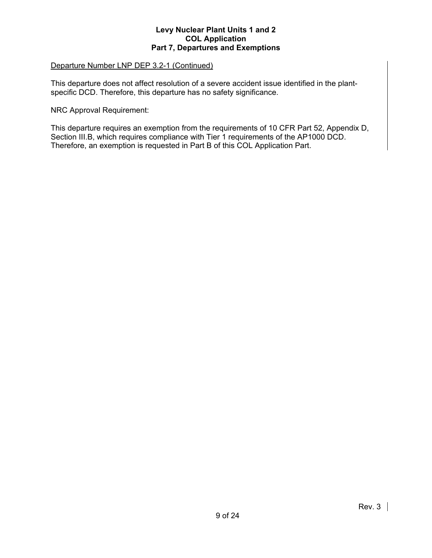#### Departure Number LNP DEP 3.2-1 (Continued)

This departure does not affect resolution of a severe accident issue identified in the plantspecific DCD. Therefore, this departure has no safety significance.

NRC Approval Requirement:

This departure requires an exemption from the requirements of 10 CFR Part 52, Appendix D, Section III.B, which requires compliance with Tier 1 requirements of the AP1000 DCD. Therefore, an exemption is requested in Part B of this COL Application Part.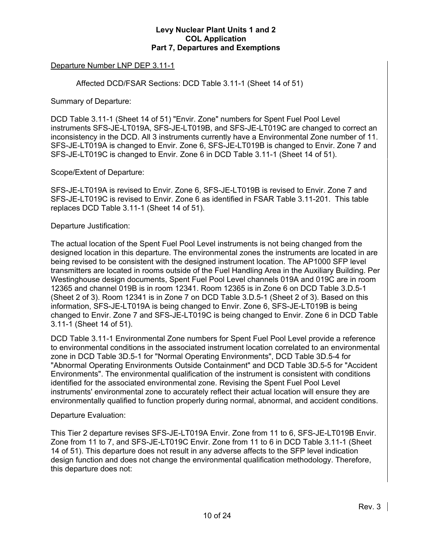### Departure Number LNP DEP 3.11-1

Affected DCD/FSAR Sections: DCD Table 3.11-1 (Sheet 14 of 51)

Summary of Departure:

DCD Table 3.11-1 (Sheet 14 of 51) "Envir. Zone" numbers for Spent Fuel Pool Level instruments SFS-JE-LT019A, SFS-JE-LT019B, and SFS-JE-LT019C are changed to correct an inconsistency in the DCD. All 3 instruments currently have a Environmental Zone number of 11. SFS-JE-LT019A is changed to Envir. Zone 6, SFS-JE-LT019B is changed to Envir. Zone 7 and SFS-JE-LT019C is changed to Envir. Zone 6 in DCD Table 3.11-1 (Sheet 14 of 51).

#### Scope/Extent of Departure:

SFS-JE-LT019A is revised to Envir. Zone 6, SFS-JE-LT019B is revised to Envir. Zone 7 and SFS-JE-LT019C is revised to Envir. Zone 6 as identified in FSAR Table 3.11-201. This table replaces DCD Table 3.11-1 (Sheet 14 of 51).

#### Departure Justification:

The actual location of the Spent Fuel Pool Level instruments is not being changed from the designed location in this departure. The environmental zones the instruments are located in are being revised to be consistent with the designed instrument location. The AP1000 SFP level transmitters are located in rooms outside of the Fuel Handling Area in the Auxiliary Building. Per Westinghouse design documents, Spent Fuel Pool Level channels 019A and 019C are in room 12365 and channel 019B is in room 12341. Room 12365 is in Zone 6 on DCD Table 3.D.5-1 (Sheet 2 of 3). Room 12341 is in Zone 7 on DCD Table 3.D.5-1 (Sheet 2 of 3). Based on this information, SFS-JE-LT019A is being changed to Envir. Zone 6, SFS-JE-LT019B is being changed to Envir. Zone 7 and SFS-JE-LT019C is being changed to Envir. Zone 6 in DCD Table 3.11-1 (Sheet 14 of 51).

DCD Table 3.11-1 Environmental Zone numbers for Spent Fuel Pool Level provide a reference to environmental conditions in the associated instrument location correlated to an environmental zone in DCD Table 3D.5-1 for "Normal Operating Environments", DCD Table 3D.5-4 for "Abnormal Operating Environments Outside Containment" and DCD Table 3D.5-5 for "Accident Environments". The environmental qualification of the instrument is consistent with conditions identified for the associated environmental zone. Revising the Spent Fuel Pool Level instruments' environmental zone to accurately reflect their actual location will ensure they are environmentally qualified to function properly during normal, abnormal, and accident conditions.

#### Departure Evaluation:

This Tier 2 departure revises SFS-JE-LT019A Envir. Zone from 11 to 6, SFS-JE-LT019B Envir. Zone from 11 to 7, and SFS-JE-LT019C Envir. Zone from 11 to 6 in DCD Table 3.11-1 (Sheet 14 of 51). This departure does not result in any adverse affects to the SFP level indication design function and does not change the environmental qualification methodology. Therefore, this departure does not: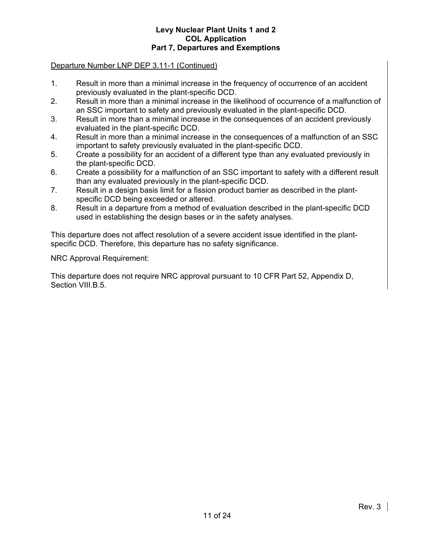#### Departure Number LNP DEP 3.11-1 (Continued)

- 1. Result in more than a minimal increase in the frequency of occurrence of an accident previously evaluated in the plant-specific DCD.
- 2. Result in more than a minimal increase in the likelihood of occurrence of a malfunction of an SSC important to safety and previously evaluated in the plant-specific DCD.
- 3. Result in more than a minimal increase in the consequences of an accident previously evaluated in the plant-specific DCD.
- 4. Result in more than a minimal increase in the consequences of a malfunction of an SSC important to safety previously evaluated in the plant-specific DCD.
- 5. Create a possibility for an accident of a different type than any evaluated previously in the plant-specific DCD.
- 6. Create a possibility for a malfunction of an SSC important to safety with a different result than any evaluated previously in the plant-specific DCD.
- 7. Result in a design basis limit for a fission product barrier as described in the plantspecific DCD being exceeded or altered.
- 8. Result in a departure from a method of evaluation described in the plant-specific DCD used in establishing the design bases or in the safety analyses.

This departure does not affect resolution of a severe accident issue identified in the plantspecific DCD. Therefore, this departure has no safety significance.

NRC Approval Requirement:

This departure does not require NRC approval pursuant to 10 CFR Part 52, Appendix D, Section VIII.B.5.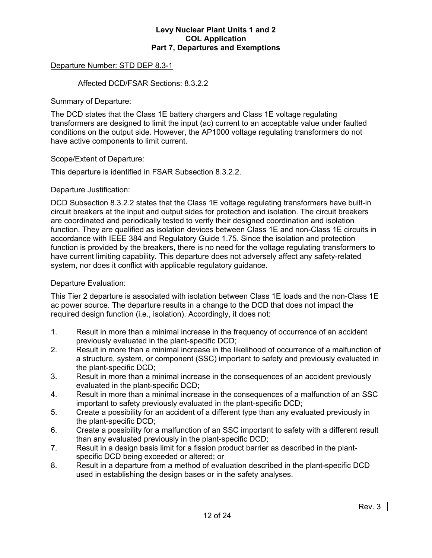### Departure Number: STD DEP 8.3-1

#### Affected DCD/FSAR Sections: 8.3.2.2

Summary of Departure:

The DCD states that the Class 1E battery chargers and Class 1E voltage regulating transformers are designed to limit the input (ac) current to an acceptable value under faulted conditions on the output side. However, the AP1000 voltage regulating transformers do not have active components to limit current.

#### Scope/Extent of Departure:

This departure is identified in FSAR Subsection 8.3.2.2.

#### Departure Justification:

DCD Subsection 8.3.2.2 states that the Class 1E voltage regulating transformers have built-in circuit breakers at the input and output sides for protection and isolation. The circuit breakers are coordinated and periodically tested to verify their designed coordination and isolation function. They are qualified as isolation devices between Class 1E and non-Class 1E circuits in accordance with IEEE 384 and Regulatory Guide 1.75. Since the isolation and protection function is provided by the breakers, there is no need for the voltage regulating transformers to have current limiting capability. This departure does not adversely affect any safety-related system, nor does it conflict with applicable regulatory guidance.

#### Departure Evaluation:

This Tier 2 departure is associated with isolation between Class 1E loads and the non-Class 1E ac power source. The departure results in a change to the DCD that does not impact the required design function (i.e., isolation). Accordingly, it does not:

- 1. Result in more than a minimal increase in the frequency of occurrence of an accident previously evaluated in the plant-specific DCD;
- 2. Result in more than a minimal increase in the likelihood of occurrence of a malfunction of a structure, system, or component (SSC) important to safety and previously evaluated in the plant-specific DCD;
- 3. Result in more than a minimal increase in the consequences of an accident previously evaluated in the plant-specific DCD;
- 4. Result in more than a minimal increase in the consequences of a malfunction of an SSC important to safety previously evaluated in the plant-specific DCD;
- 5. Create a possibility for an accident of a different type than any evaluated previously in the plant-specific DCD;
- 6. Create a possibility for a malfunction of an SSC important to safety with a different result than any evaluated previously in the plant-specific DCD;
- 7. Result in a design basis limit for a fission product barrier as described in the plantspecific DCD being exceeded or altered; or
- 8. Result in a departure from a method of evaluation described in the plant-specific DCD used in establishing the design bases or in the safety analyses.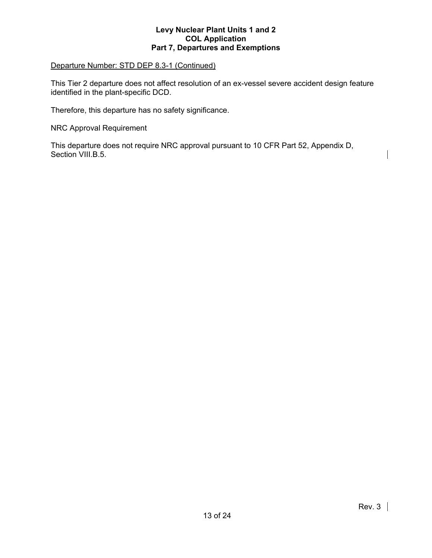### Departure Number: STD DEP 8.3-1 (Continued)

This Tier 2 departure does not affect resolution of an ex-vessel severe accident design feature identified in the plant-specific DCD.

Therefore, this departure has no safety significance.

NRC Approval Requirement

This departure does not require NRC approval pursuant to 10 CFR Part 52, Appendix D, Section VIII.B.5.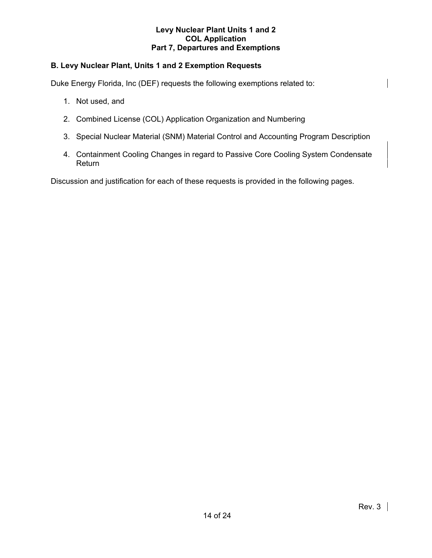# **B. Levy Nuclear Plant, Units 1 and 2 Exemption Requests**

Duke Energy Florida, Inc (DEF) requests the following exemptions related to:

- 1. Not used, and
- 2. Combined License (COL) Application Organization and Numbering
- 3. Special Nuclear Material (SNM) Material Control and Accounting Program Description
- 4. Containment Cooling Changes in regard to Passive Core Cooling System Condensate Return

Discussion and justification for each of these requests is provided in the following pages.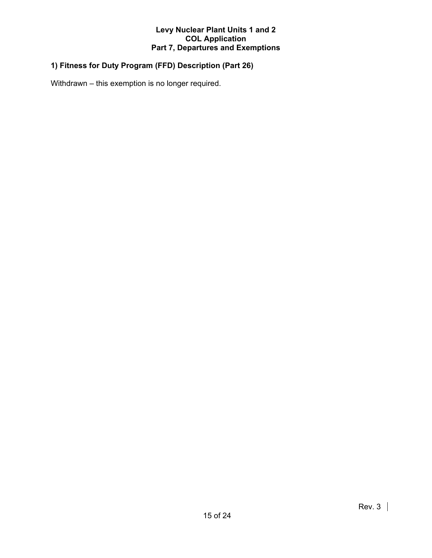# **1) Fitness for Duty Program (FFD) Description (Part 26)**

Withdrawn – this exemption is no longer required.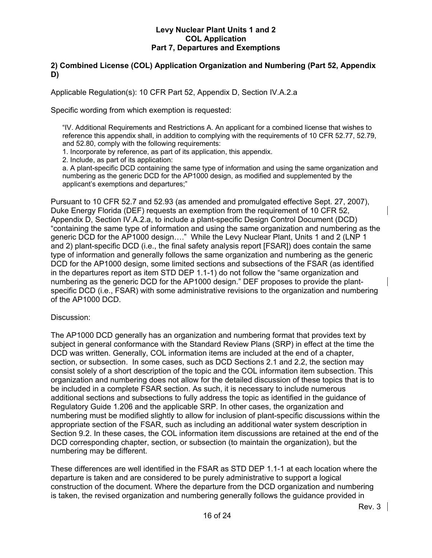# **2) Combined License (COL) Application Organization and Numbering (Part 52, Appendix D)**

Applicable Regulation(s): 10 CFR Part 52, Appendix D, Section IV.A.2.a

Specific wording from which exemption is requested:

"IV. Additional Requirements and Restrictions A. An applicant for a combined license that wishes to reference this appendix shall, in addition to complying with the requirements of 10 CFR 52.77, 52.79, and 52.80, comply with the following requirements:

1. Incorporate by reference, as part of its application, this appendix.

2. Include, as part of its application:

a. A plant-specific DCD containing the same type of information and using the same organization and numbering as the generic DCD for the AP1000 design, as modified and supplemented by the applicant's exemptions and departures;"

Pursuant to 10 CFR 52.7 and 52.93 (as amended and promulgated effective Sept. 27, 2007), Duke Energy Florida (DEF) requests an exemption from the requirement of 10 CFR 52, Appendix D, Section IV.A.2.a, to include a plant-specific Design Control Document (DCD) "containing the same type of information and using the same organization and numbering as the generic DCD for the AP1000 design…." While the Levy Nuclear Plant, Units 1 and 2 (LNP 1 and 2) plant-specific DCD (i.e., the final safety analysis report [FSAR]) does contain the same type of information and generally follows the same organization and numbering as the generic DCD for the AP1000 design, some limited sections and subsections of the FSAR (as identified in the departures report as item STD DEP 1.1-1) do not follow the "same organization and numbering as the generic DCD for the AP1000 design." DEF proposes to provide the plantspecific DCD (i.e., FSAR) with some administrative revisions to the organization and numbering of the AP1000 DCD.

#### Discussion:

The AP1000 DCD generally has an organization and numbering format that provides text by subject in general conformance with the Standard Review Plans (SRP) in effect at the time the DCD was written. Generally, COL information items are included at the end of a chapter, section, or subsection. In some cases, such as DCD Sections 2.1 and 2.2, the section may consist solely of a short description of the topic and the COL information item subsection. This organization and numbering does not allow for the detailed discussion of these topics that is to be included in a complete FSAR section. As such, it is necessary to include numerous additional sections and subsections to fully address the topic as identified in the guidance of Regulatory Guide 1.206 and the applicable SRP. In other cases, the organization and numbering must be modified slightly to allow for inclusion of plant-specific discussions within the appropriate section of the FSAR, such as including an additional water system description in Section 9.2. In these cases, the COL information item discussions are retained at the end of the DCD corresponding chapter, section, or subsection (to maintain the organization), but the numbering may be different.

These differences are well identified in the FSAR as STD DEP 1.1-1 at each location where the departure is taken and are considered to be purely administrative to support a logical construction of the document. Where the departure from the DCD organization and numbering is taken, the revised organization and numbering generally follows the guidance provided in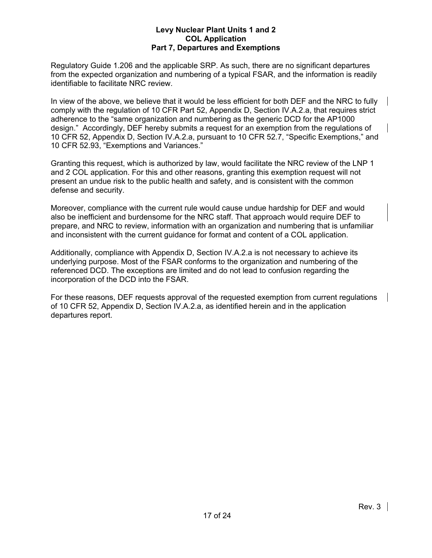Regulatory Guide 1.206 and the applicable SRP. As such, there are no significant departures from the expected organization and numbering of a typical FSAR, and the information is readily identifiable to facilitate NRC review.

In view of the above, we believe that it would be less efficient for both DEF and the NRC to fully comply with the regulation of 10 CFR Part 52, Appendix D, Section IV.A.2.a, that requires strict adherence to the "same organization and numbering as the generic DCD for the AP1000 design." Accordingly, DEF hereby submits a request for an exemption from the regulations of 10 CFR 52, Appendix D, Section IV.A.2.a, pursuant to 10 CFR 52.7, "Specific Exemptions," and 10 CFR 52.93, "Exemptions and Variances."

Granting this request, which is authorized by law, would facilitate the NRC review of the LNP 1 and 2 COL application. For this and other reasons, granting this exemption request will not present an undue risk to the public health and safety, and is consistent with the common defense and security.

Moreover, compliance with the current rule would cause undue hardship for DEF and would also be inefficient and burdensome for the NRC staff. That approach would require DEF to prepare, and NRC to review, information with an organization and numbering that is unfamiliar and inconsistent with the current guidance for format and content of a COL application.

Additionally, compliance with Appendix D, Section IV.A.2.a is not necessary to achieve its underlying purpose. Most of the FSAR conforms to the organization and numbering of the referenced DCD. The exceptions are limited and do not lead to confusion regarding the incorporation of the DCD into the FSAR.

For these reasons, DEF requests approval of the requested exemption from current regulations of 10 CFR 52, Appendix D, Section IV.A.2.a, as identified herein and in the application departures report.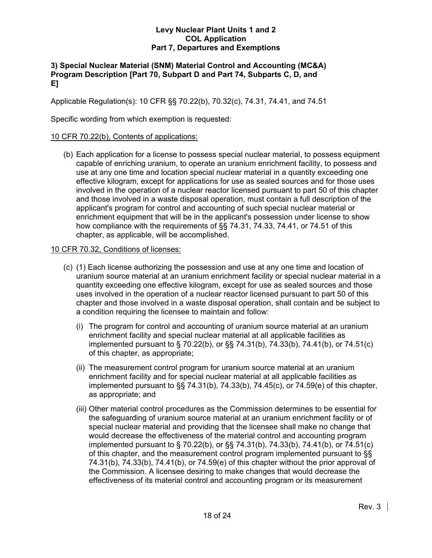# **3) Special Nuclear Material (SNM) Material Control and Accounting (MC&A) Program Description [Part 70, Subpart D and Part 74, Subparts C, D, and E]**

Applicable Regulation(s): 10 CFR §§ 70.22(b), 70.32(c), 74.31, 74.41, and 74.51

Specific wording from which exemption is requested:

# 10 CFR 70.22(b), Contents of applications:

 (b) Each application for a license to possess special nuclear material, to possess equipment capable of enriching uranium, to operate an uranium enrichment facility, to possess and use at any one time and location special nuclear material in a quantity exceeding one effective kilogram, except for applications for use as sealed sources and for those uses involved in the operation of a nuclear reactor licensed pursuant to part 50 of this chapter and those involved in a waste disposal operation, must contain a full description of the applicant's program for control and accounting of such special nuclear material or enrichment equipment that will be in the applicant's possession under license to show how compliance with the requirements of §§ 74.31, 74.33, 74.41, or 74.51 of this chapter, as applicable, will be accomplished.

# 10 CFR 70.32, Conditions of licenses:

- (c) (1) Each license authorizing the possession and use at any one time and location of uranium source material at an uranium enrichment facility or special nuclear material in a quantity exceeding one effective kilogram, except for use as sealed sources and those uses involved in the operation of a nuclear reactor licensed pursuant to part 50 of this chapter and those involved in a waste disposal operation, shall contain and be subject to a condition requiring the licensee to maintain and follow:
	- (i) The program for control and accounting of uranium source material at an uranium enrichment facility and special nuclear material at all applicable facilities as implemented pursuant to § 70.22(b), or §§ 74.31(b), 74.33(b), 74.41(b), or 74.51(c) of this chapter, as appropriate;
	- (ii) The measurement control program for uranium source material at an uranium enrichment facility and for special nuclear material at all applicable facilities as implemented pursuant to §§ 74.31(b), 74.33(b), 74.45(c), or 74.59(e) of this chapter, as appropriate; and
	- (iii) Other material control procedures as the Commission determines to be essential for the safeguarding of uranium source material at an uranium enrichment facility or of special nuclear material and providing that the licensee shall make no change that would decrease the effectiveness of the material control and accounting program implemented pursuant to § 70.22(b), or §§ 74.31(b), 74.33(b), 74.41(b), or 74.51(c) of this chapter, and the measurement control program implemented pursuant to §§ 74.31(b), 74.33(b), 74.41(b), or 74.59(e) of this chapter without the prior approval of the Commission. A licensee desiring to make changes that would decrease the effectiveness of its material control and accounting program or its measurement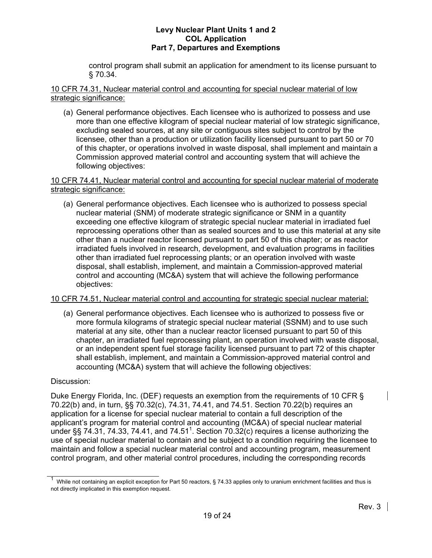control program shall submit an application for amendment to its license pursuant to § 70.34.

10 CFR 74.31, Nuclear material control and accounting for special nuclear material of low strategic significance:

 (a) General performance objectives. Each licensee who is authorized to possess and use more than one effective kilogram of special nuclear material of low strategic significance, excluding sealed sources, at any site or contiguous sites subject to control by the licensee, other than a production or utilization facility licensed pursuant to part 50 or 70 of this chapter, or operations involved in waste disposal, shall implement and maintain a Commission approved material control and accounting system that will achieve the following objectives:

### 10 CFR 74.41, Nuclear material control and accounting for special nuclear material of moderate strategic significance:

 (a) General performance objectives. Each licensee who is authorized to possess special nuclear material (SNM) of moderate strategic significance or SNM in a quantity exceeding one effective kilogram of strategic special nuclear material in irradiated fuel reprocessing operations other than as sealed sources and to use this material at any site other than a nuclear reactor licensed pursuant to part 50 of this chapter; or as reactor irradiated fuels involved in research, development, and evaluation programs in facilities other than irradiated fuel reprocessing plants; or an operation involved with waste disposal, shall establish, implement, and maintain a Commission-approved material control and accounting (MC&A) system that will achieve the following performance objectives:

# 10 CFR 74.51, Nuclear material control and accounting for strategic special nuclear material:

 (a) General performance objectives. Each licensee who is authorized to possess five or more formula kilograms of strategic special nuclear material (SSNM) and to use such material at any site, other than a nuclear reactor licensed pursuant to part 50 of this chapter, an irradiated fuel reprocessing plant, an operation involved with waste disposal, or an independent spent fuel storage facility licensed pursuant to part 72 of this chapter shall establish, implement, and maintain a Commission-approved material control and accounting (MC&A) system that will achieve the following objectives:

# Discussion:

Duke Energy Florida, Inc. (DEF) requests an exemption from the requirements of 10 CFR § 70.22(b) and, in turn, §§ 70.32(c), 74.31, 74.41, and 74.51. Section 70.22(b) requires an application for a license for special nuclear material to contain a full description of the applicant's program for material control and accounting (MC&A) of special nuclear material under §§ 74.31, 74.33, 74.41, and 74.51<sup>1</sup>. Section 70.32(c) requires a license authorizing the use of special nuclear material to contain and be subject to a condition requiring the licensee to maintain and follow a special nuclear material control and accounting program, measurement control program, and other material control procedures, including the corresponding records

<sup>1</sup> While not containing an explicit exception for Part 50 reactors, § 74.33 applies only to uranium enrichment facilities and thus is not directly implicated in this exemption request.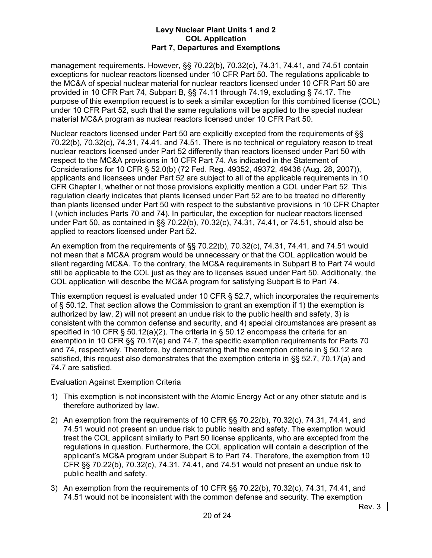management requirements. However, §§ 70.22(b), 70.32(c), 74.31, 74.41, and 74.51 contain exceptions for nuclear reactors licensed under 10 CFR Part 50. The regulations applicable to the MC&A of special nuclear material for nuclear reactors licensed under 10 CFR Part 50 are provided in 10 CFR Part 74, Subpart B, §§ 74.11 through 74.19, excluding § 74.17. The purpose of this exemption request is to seek a similar exception for this combined license (COL) under 10 CFR Part 52, such that the same regulations will be applied to the special nuclear material MC&A program as nuclear reactors licensed under 10 CFR Part 50.

Nuclear reactors licensed under Part 50 are explicitly excepted from the requirements of §§ 70.22(b), 70.32(c), 74.31, 74.41, and 74.51. There is no technical or regulatory reason to treat nuclear reactors licensed under Part 52 differently than reactors licensed under Part 50 with respect to the MC&A provisions in 10 CFR Part 74. As indicated in the Statement of Considerations for 10 CFR § 52.0(b) (72 Fed. Reg. 49352, 49372, 49436 (Aug. 28, 2007)), applicants and licensees under Part 52 are subject to all of the applicable requirements in 10 CFR Chapter I, whether or not those provisions explicitly mention a COL under Part 52. This regulation clearly indicates that plants licensed under Part 52 are to be treated no differently than plants licensed under Part 50 with respect to the substantive provisions in 10 CFR Chapter I (which includes Parts 70 and 74). In particular, the exception for nuclear reactors licensed under Part 50, as contained in §§ 70.22(b), 70.32(c), 74.31, 74.41, or 74.51, should also be applied to reactors licensed under Part 52.

An exemption from the requirements of §§ 70.22(b), 70.32(c), 74.31, 74.41, and 74.51 would not mean that a MC&A program would be unnecessary or that the COL application would be silent regarding MC&A. To the contrary, the MC&A requirements in Subpart B to Part 74 would still be applicable to the COL just as they are to licenses issued under Part 50. Additionally, the COL application will describe the MC&A program for satisfying Subpart B to Part 74.

This exemption request is evaluated under 10 CFR § 52.7, which incorporates the requirements of § 50.12. That section allows the Commission to grant an exemption if 1) the exemption is authorized by law, 2) will not present an undue risk to the public health and safety, 3) is consistent with the common defense and security, and 4) special circumstances are present as specified in 10 CFR § 50.12(a)(2). The criteria in § 50.12 encompass the criteria for an exemption in 10 CFR §§ 70.17(a) and 74.7, the specific exemption requirements for Parts 70 and 74, respectively. Therefore, by demonstrating that the exemption criteria in § 50.12 are satisfied, this request also demonstrates that the exemption criteria in §§ 52.7, 70.17(a) and 74.7 are satisfied.

# Evaluation Against Exemption Criteria

- 1) This exemption is not inconsistent with the Atomic Energy Act or any other statute and is therefore authorized by law.
- 2) An exemption from the requirements of 10 CFR §§ 70.22(b), 70.32(c), 74.31, 74.41, and 74.51 would not present an undue risk to public health and safety. The exemption would treat the COL applicant similarly to Part 50 license applicants, who are excepted from the regulations in question. Furthermore, the COL application will contain a description of the applicant's MC&A program under Subpart B to Part 74. Therefore, the exemption from 10 CFR §§ 70.22(b), 70.32(c), 74.31, 74.41, and 74.51 would not present an undue risk to public health and safety.
- 3) An exemption from the requirements of 10 CFR §§ 70.22(b), 70.32(c), 74.31, 74.41, and 74.51 would not be inconsistent with the common defense and security. The exemption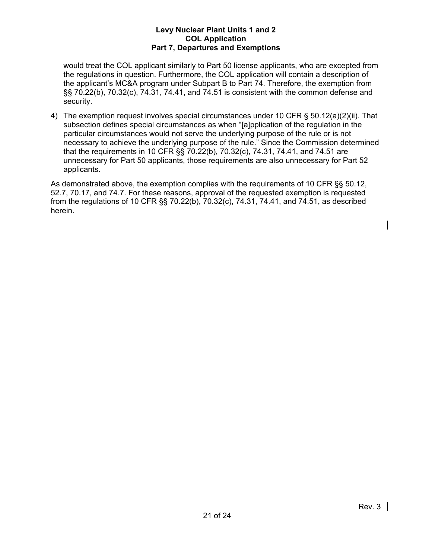would treat the COL applicant similarly to Part 50 license applicants, who are excepted from the regulations in question. Furthermore, the COL application will contain a description of the applicant's MC&A program under Subpart B to Part 74. Therefore, the exemption from §§ 70.22(b), 70.32(c), 74.31, 74.41, and 74.51 is consistent with the common defense and security.

4) The exemption request involves special circumstances under 10 CFR § 50.12(a)(2)(ii). That subsection defines special circumstances as when "[a]pplication of the regulation in the particular circumstances would not serve the underlying purpose of the rule or is not necessary to achieve the underlying purpose of the rule." Since the Commission determined that the requirements in 10 CFR §§ 70.22(b), 70.32(c), 74.31, 74.41, and 74.51 are unnecessary for Part 50 applicants, those requirements are also unnecessary for Part 52 applicants.

As demonstrated above, the exemption complies with the requirements of 10 CFR §§ 50.12, 52.7, 70.17, and 74.7. For these reasons, approval of the requested exemption is requested from the regulations of 10 CFR §§ 70.22(b), 70.32(c), 74.31, 74.41, and 74.51, as described herein.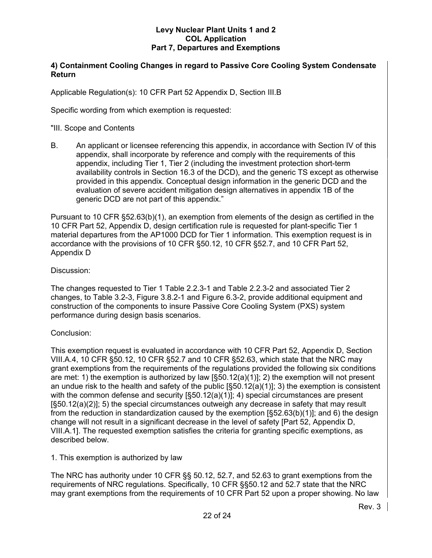# **4) Containment Cooling Changes in regard to Passive Core Cooling System Condensate Return**

Applicable Regulation(s): 10 CFR Part 52 Appendix D, Section III.B

Specific wording from which exemption is requested:

#### "III. Scope and Contents

B. An applicant or licensee referencing this appendix, in accordance with Section IV of this appendix, shall incorporate by reference and comply with the requirements of this appendix, including Tier 1, Tier 2 (including the investment protection short-term availability controls in Section 16.3 of the DCD), and the generic TS except as otherwise provided in this appendix. Conceptual design information in the generic DCD and the evaluation of severe accident mitigation design alternatives in appendix 1B of the generic DCD are not part of this appendix."

Pursuant to 10 CFR §52.63(b)(1), an exemption from elements of the design as certified in the 10 CFR Part 52, Appendix D, design certification rule is requested for plant-specific Tier 1 material departures from the AP1000 DCD for Tier 1 information. This exemption request is in accordance with the provisions of 10 CFR §50.12, 10 CFR §52.7, and 10 CFR Part 52, Appendix D

#### Discussion:

The changes requested to Tier 1 Table 2.2.3-1 and Table 2.2.3-2 and associated Tier 2 changes, to Table 3.2-3, Figure 3.8.2-1 and Figure 6.3-2, provide additional equipment and construction of the components to insure Passive Core Cooling System (PXS) system performance during design basis scenarios.

# Conclusion:

This exemption request is evaluated in accordance with 10 CFR Part 52, Appendix D, Section VIII.A.4, 10 CFR §50.12, 10 CFR §52.7 and 10 CFR §52.63, which state that the NRC may grant exemptions from the requirements of the regulations provided the following six conditions are met: 1) the exemption is authorized by law  $\lceil \frac{\mathcal{S}}{0.12(a)(1)} \rceil$ ; 2) the exemption will not present an undue risk to the health and safety of the public  $[\S 50.12(a)(1)]$ ; 3) the exemption is consistent with the common defense and security [§50.12(a)(1)]; 4) special circumstances are present [§50.12(a)(2)]; 5) the special circumstances outweigh any decrease in safety that may result from the reduction in standardization caused by the exemption [§52.63(b)(1)]; and 6) the design change will not result in a significant decrease in the level of safety [Part 52, Appendix D, VIII.A.1]. The requested exemption satisfies the criteria for granting specific exemptions, as described below.

# 1. This exemption is authorized by law

The NRC has authority under 10 CFR §§ 50.12, 52.7, and 52.63 to grant exemptions from the requirements of NRC regulations. Specifically, 10 CFR §§50.12 and 52.7 state that the NRC may grant exemptions from the requirements of 10 CFR Part 52 upon a proper showing. No law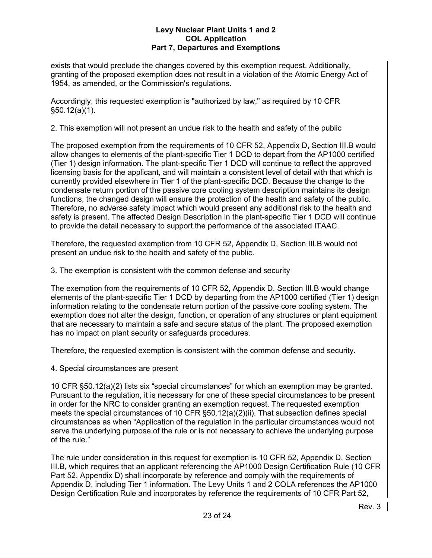exists that would preclude the changes covered by this exemption request. Additionally, granting of the proposed exemption does not result in a violation of the Atomic Energy Act of 1954, as amended, or the Commission's regulations.

Accordingly, this requested exemption is "authorized by law," as required by 10 CFR §50.12(a)(1).

2. This exemption will not present an undue risk to the health and safety of the public

The proposed exemption from the requirements of 10 CFR 52, Appendix D, Section III.B would allow changes to elements of the plant-specific Tier 1 DCD to depart from the AP1000 certified (Tier 1) design information. The plant-specific Tier 1 DCD will continue to reflect the approved licensing basis for the applicant, and will maintain a consistent level of detail with that which is currently provided elsewhere in Tier 1 of the plant-specific DCD. Because the change to the condensate return portion of the passive core cooling system description maintains its design functions, the changed design will ensure the protection of the health and safety of the public. Therefore, no adverse safety impact which would present any additional risk to the health and safety is present. The affected Design Description in the plant-specific Tier 1 DCD will continue to provide the detail necessary to support the performance of the associated ITAAC.

Therefore, the requested exemption from 10 CFR 52, Appendix D, Section III.B would not present an undue risk to the health and safety of the public.

3. The exemption is consistent with the common defense and security

The exemption from the requirements of 10 CFR 52, Appendix D, Section III.B would change elements of the plant-specific Tier 1 DCD by departing from the AP1000 certified (Tier 1) design information relating to the condensate return portion of the passive core cooling system. The exemption does not alter the design, function, or operation of any structures or plant equipment that are necessary to maintain a safe and secure status of the plant. The proposed exemption has no impact on plant security or safeguards procedures.

Therefore, the requested exemption is consistent with the common defense and security.

4. Special circumstances are present

10 CFR §50.12(a)(2) lists six "special circumstances" for which an exemption may be granted. Pursuant to the regulation, it is necessary for one of these special circumstances to be present in order for the NRC to consider granting an exemption request. The requested exemption meets the special circumstances of 10 CFR §50.12(a)(2)(ii). That subsection defines special circumstances as when "Application of the regulation in the particular circumstances would not serve the underlying purpose of the rule or is not necessary to achieve the underlying purpose of the rule."

The rule under consideration in this request for exemption is 10 CFR 52, Appendix D, Section III.B, which requires that an applicant referencing the AP1000 Design Certification Rule (10 CFR Part 52, Appendix D) shall incorporate by reference and comply with the requirements of Appendix D, including Tier 1 information. The Levy Units 1 and 2 COLA references the AP1000 Design Certification Rule and incorporates by reference the requirements of 10 CFR Part 52,